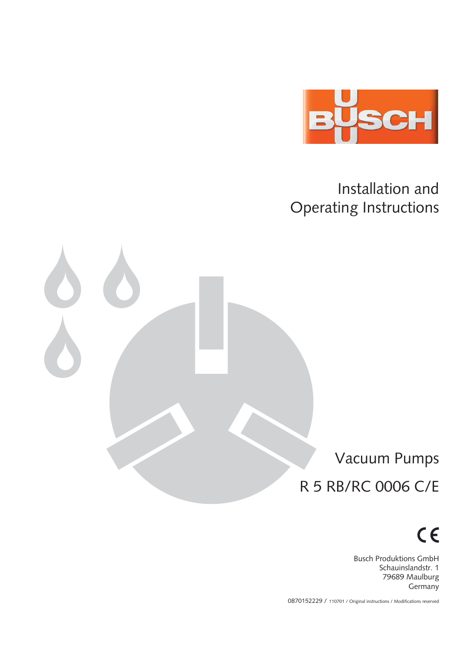

Installation and Operating Instructions

Vacuum Pumps R 5 RB/RC 0006 C/E

 $C \in$ 

Busch Produktions GmbH Schauinslandstr. 1 79689 Maulburg Germany

0870152229 / 110701 / Original instructions / Modifications reserved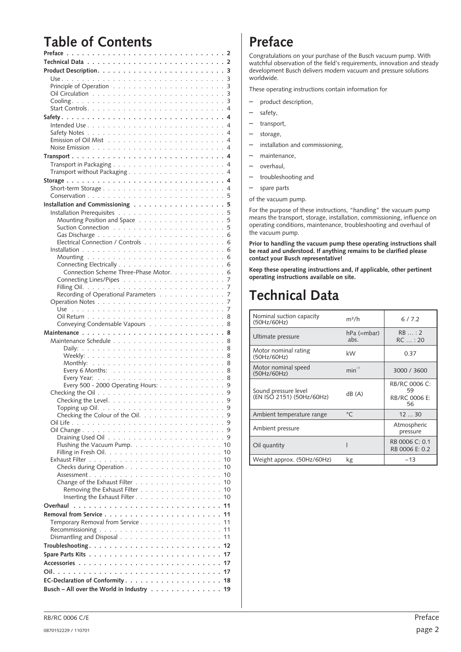## <span id="page-1-0"></span>**Table of Contents**

| Installation and Commissioning 5                                                        |
|-----------------------------------------------------------------------------------------|
|                                                                                         |
| Mounting Position and Space 5                                                           |
|                                                                                         |
|                                                                                         |
| Electrical Connection / Controls 6                                                      |
|                                                                                         |
|                                                                                         |
|                                                                                         |
| Connection Scheme Three-Phase Motor. 6                                                  |
|                                                                                         |
|                                                                                         |
| Recording of Operational Parameters 7                                                   |
|                                                                                         |
|                                                                                         |
|                                                                                         |
| Conveying Condensable Vapours 8                                                         |
|                                                                                         |
|                                                                                         |
|                                                                                         |
|                                                                                         |
|                                                                                         |
|                                                                                         |
|                                                                                         |
|                                                                                         |
| Every 500 - 2000 Operating Hours: 9                                                     |
|                                                                                         |
| -9                                                                                      |
| . 9                                                                                     |
| Checking the Colour of the Oil. 9                                                       |
|                                                                                         |
|                                                                                         |
| . 9                                                                                     |
| 10                                                                                      |
| 10                                                                                      |
| 10                                                                                      |
| 10                                                                                      |
| 10                                                                                      |
| 10                                                                                      |
| Removing the Exhaust Filter.<br>a característica de la característica<br>10             |
| Inserting the Exhaust Filter $\ldots$ , $\ldots$ , $\ldots$ , $\ldots$ , $\ldots$<br>10 |
| Overhaul<br>11<br>$\overline{a}$<br>$\overline{a}$<br>÷.<br>$\mathbf{r}$<br>and a state |
| Removal from Service.<br>11                                                             |
| Temporary Removal from Service<br>11                                                    |
| 11                                                                                      |
| Dismantling and Disposal<br>11                                                          |
| Troubleshooting.<br>12<br>.<br>÷.<br>$\mathbf{r}$                                       |
| -17                                                                                     |
| Spare Parts Kits.<br>÷.                                                                 |
| 17<br>Accessories                                                                       |
| Oil.<br>17                                                                              |
|                                                                                         |
| EC-Declaration of Conformity.<br>18                                                     |

## **Preface**

Congratulations on your purchase of the Busch vacuum pump. With watchful observation of the field's requirements, innovation and steady development Busch delivers modern vacuum and pressure solutions worldwide.

These operating instructions contain information for

- product description,
- safety,
- transport,
- storage,
- installation and commissioning,
- maintenance,
- overhaul,
- troubleshooting and
- spare parts

of the vacuum pump.

For the purpose of these instructions, "handling" the vacuum pump means the transport, storage, installation, commissioning, influence on operating conditions, maintenance, troubleshooting and overhaul of the vacuum pump.

**Prior to handling the vacuum pump these operating instructions shall be read and understood. If anything remains to be clarified please contact your Busch representative!**

**Keep these operating instructions and, if applicable, other pertinent operating instructions available on site.**

## **Technical Data**

| Nominal suction capacity<br>(50Hz/60Hz)           | m <sup>3</sup> /h   | 6/7.2                                      |
|---------------------------------------------------|---------------------|--------------------------------------------|
| Ultimate pressure                                 | hPa (=mbar)<br>abs. | $RB$ : 2<br>RC:20                          |
| Motor nominal rating<br>(50Hz/60Hz)               | kW                  | 0.37                                       |
| Motor nominal speed<br>(50Hz/60Hz)                | $min^{-1}$          | 3000 / 3600                                |
| Sound pressure level<br>(EN ISO 2151) (50Hz/60Hz) | dB(A)               | RB/RC 0006 C:<br>59<br>RB/RC 0006 E:<br>56 |
| Ambient temperature range                         | $^{\circ}C$         | 1230                                       |
| Ambient pressure                                  |                     | Atmospheric<br>pressure                    |
| Oil quantity                                      |                     | RB 0006 C: 0.1<br>RB 0006 E: 0.2           |
| Weight approx. (50Hz/60Hz)                        | kg                  | ~13                                        |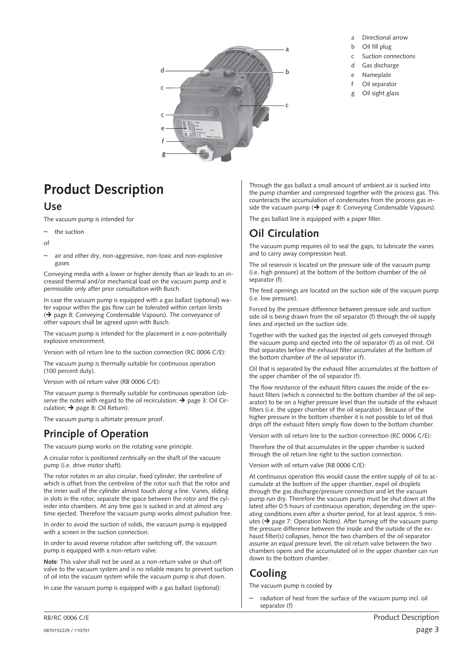<span id="page-2-0"></span>

- a Directional arrow
- b Oil fill plug
- c Suction connections
- d Gas discharge
- e Nameplate
- f Oil separator
- g Oil sight glass

## **Product Description**

### **Use**

The vacuum pump is intended for

- the suction
- of
- air and other dry, non-aggressive, non-toxic and non-explosive gases

Conveying media with a lower or higher density than air leads to an increased thermal and/or mechanical load on the vacuum pump and is permissible only after prior consultation with Busch.

In case the vacuum pump is equipped with a gas ballast (optional) water vapour within the gas flow can be tolerated within certain limits  $\leftrightarrow$  page [8](#page-7-0): Conveying Condensable Vapours). The conveyance of other vapours shall be agreed upon with Busch.

The vacuum pump is intended for the placement in a non-potentially explosive environment.

Version with oil return line to the suction connection (RC 0006 C/E):

The vacuum pump is thermally suitable for continuous operation (100 percent duty).

Version with oil return valve (RB 0006 C/E):

The vacuum pump is thermally suitable for continuous operation (observe the notes with regard to the oil recirculation:  $\rightarrow$  page [3:](#page-2-0) Oil Circulation;  $\rightarrow$  page [8](#page-7-0): Oil Return).

The vacuum pump is ultimate pressure proof.

## **Principle of Operation**

The vacuum pump works on the rotating vane principle.

A circular rotor is positioned centrically on the shaft of the vacuum pump (i.e. drive motor shaft).

The rotor rotates in an also circular, fixed cylinder, the centreline of which is offset from the centreline of the rotor such that the rotor and the inner wall of the cylinder almost touch along a line. Vanes, sliding in slots in the rotor, separate the space between the rotor and the cylinder into chambers. At any time gas is sucked in and at almost any time ejected. Therefore the vacuum pump works almost pulsation free.

In order to avoid the suction of solids, the vacuum pump is equipped with a screen in the suction connection.

In order to avoid reverse rotation after switching off, the vacuum pump is equipped with a non-return valve.

**Note**: This valve shall not be used as a non-return valve or shut-off valve to the vacuum system and is no reliable means to prevent suction of oil into the vacuum system while the vacuum pump is shut down.

In case the vacuum pump is equipped with a gas ballast (optional):

Through the gas ballast a small amount of ambient air is sucked into the pump chamber and compressed together with the process gas. This counteracts the accumulation of condensates from the process gas inside the vacuum pump ( $\rightarrow$  page [8:](#page-7-0) Conveying Condensable Vapours).

The gas ballast line is equipped with a paper filter.

## **Oil Circulation**

The vacuum pump requires oil to seal the gaps, to lubricate the vanes and to carry away compression heat.

The oil reservoir is located on the pressure side of the vacuum pump (i.e. high pressure) at the bottom of the bottom chamber of the oil separator (f).

The feed openings are located on the suction side of the vacuum pump (i.e. low pressure).

Forced by the pressure difference between pressure side and suction side oil is being drawn from the oil separator (f) through the oil supply lines and injected on the suction side.

Together with the sucked gas the injected oil gets conveyed through the vacuum pump and ejected into the oil separator (f) as oil mist. Oil that separates before the exhaust filter accumulates at the bottom of the bottom chamber of the oil separator (f).

Oil that is separated by the exhaust filter accumulates at the bottom of the upper chamber of the oil separator (f).

The flow resistance of the exhaust filters causes the inside of the exhaust filters (which is connected to the bottom chamber of the oil separator) to be on a higher pressure level than the outside of the exhaust filters (i.e. the upper chamber of the oil separator). Because of the higher pressure in the bottom chamber it is not possible to let oil that drips off the exhaust filters simply flow down to the bottom chamber.

Version with oil return line to the suction connection (RC 0006 C/E):

Therefore the oil that accumulates in the upper chamber is sucked through the oil return line right to the suction connection.

Version with oil return valve (RB 0006 C/E):

At continuous operation this would cause the entire supply of oil to accumulate at the bottom of the upper chamber, expel oil droplets through the gas discharge/pressure connection and let the vacuum pump run dry. Therefore the vacuum pump must be shut down at the latest after 0.5 hours of continuous operation, depending on the operating conditions even after a shorter period, for at least approx. 5 minutes ( $\rightarrow$  page [7:](#page-6-0) Operation Notes). After turning off the vacuum pump the pressure difference between the inside and the outside of the exhaust filter(s) collapses, hence the two chambers of the oil separator assume an equal pressure level, the oil return valve between the two chambers opens and the accumulated oil in the upper chamber can run down to the bottom chamber.

## **Cooling**

The vacuum pump is cooled by

– radiation of heat from the surface of the vacuum pump incl. oil separator (f)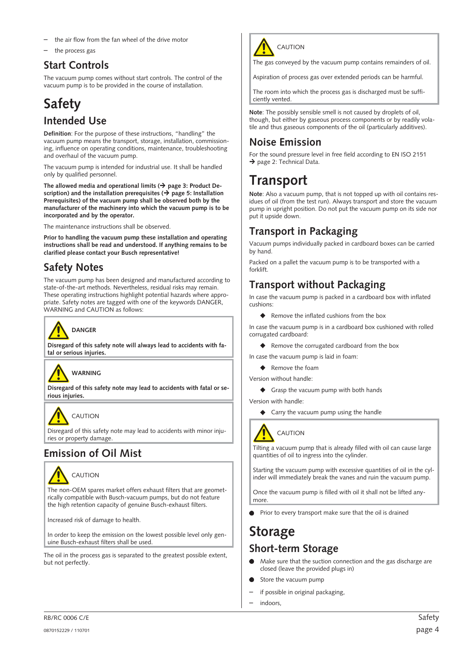- <span id="page-3-0"></span>the air flow from the fan wheel of the drive motor
- the process gas

### **Start Controls**

The vacuum pump comes without start controls. The control of the vacuum pump is to be provided in the course of installation.

## **Safety**

### **Intended Use**

**Definition**: For the purpose of these instructions, "handling" the vacuum pump means the transport, storage, installation, commissioning, influence on operating conditions, maintenance, troubleshooting and overhaul of the vacuum pump.

The vacuum pump is intended for industrial use. It shall be handled only by qualified personnel.

The allowed media and operational limits  $($   $\rightarrow$  page [3](#page-2-0): Product De**scription)** and the installation prerequisites  $(\rightarrow)$  page [5](#page-4-0): Installation **Prerequisites) of the vacuum pump shall be observed both by the manufacturer of the machinery into which the vacuum pump is to be incorporated and by the operator.**

The maintenance instructions shall be observed.

**Prior to handling the vacuum pump these installation and operating instructions shall be read and understood. If anything remains to be clarified please contact your Busch representative!**

## **Safety Notes**

The vacuum pump has been designed and manufactured according to state-of-the-art methods. Nevertheless, residual risks may remain. These operating instructions highlight potential hazards where appropriate. Safety notes are tagged with one of the keywords DANGER, WARNING and CAUTION as follows:



**Disregard of this safety note will always lead to accidents with fatal or serious injuries.**



**Disregard of this safety note may lead to accidents with fatal or serious injuries.**

## CALITION

Disregard of this safety note may lead to accidents with minor injuries or property damage.

## **Emission of Oil Mist**



The non-OEM spares market offers exhaust filters that are geometrically compatible with Busch-vacuum pumps, but do not feature the high retention capacity of genuine Busch-exhaust filters.

Increased risk of damage to health.

In order to keep the emission on the lowest possible level only genuine Busch-exhaust filters shall be used.

The oil in the process gas is separated to the greatest possible extent, but not perfectly.



The gas conveyed by the vacuum pump contains remainders of oil.

Aspiration of process gas over extended periods can be harmful.

The room into which the process gas is discharged must be sufficiently vented.

**Note**: The possibly sensible smell is not caused by droplets of oil, though, but either by gaseous process components or by readily volatile and thus gaseous components of the oil (particularly additives).

## **Noise Emission**

For the sound pressure level in free field according to EN ISO 2151  $\rightarrow$  page 2: Technical Data.

## **Transport**

**Note**: Also a vacuum pump, that is not topped up with oil contains residues of oil (from the test run). Always transport and store the vacuum pump in upright position. Do not put the vacuum pump on its side nor put it upside down.

## **Transport in Packaging**

Vacuum pumps individually packed in cardboard boxes can be carried by hand.

Packed on a pallet the vacuum pump is to be transported with a forklift.

## **Transport without Packaging**

In case the vacuum pump is packed in a cardboard box with inflated cushions:

 $\triangle$  Remove the inflated cushions from the box

In case the vacuum pump is in a cardboard box cushioned with rolled corrugated cardboard:

♦ Remove the corrugated cardboard from the box

In case the vacuum pump is laid in foam:

- ◆ Remove the foam
- Version without handle:
	- ◆ Grasp the vacuum pump with both hands

Version with handle:

Carry the vacuum pump using the handle



Tilting a vacuum pump that is already filled with oil can cause large quantities of oil to ingress into the cylinder.

Starting the vacuum pump with excessive quantities of oil in the cylinder will immediately break the vanes and ruin the vacuum pump.

Once the vacuum pump is filled with oil it shall not be lifted anymore.

Prior to every transport make sure that the oil is drained

## **Storage Short-term Storage**

- Make sure that the suction connection and the gas discharge are closed (leave the provided plugs in)
- Store the vacuum pump
- if possible in original packaging,
- indoors,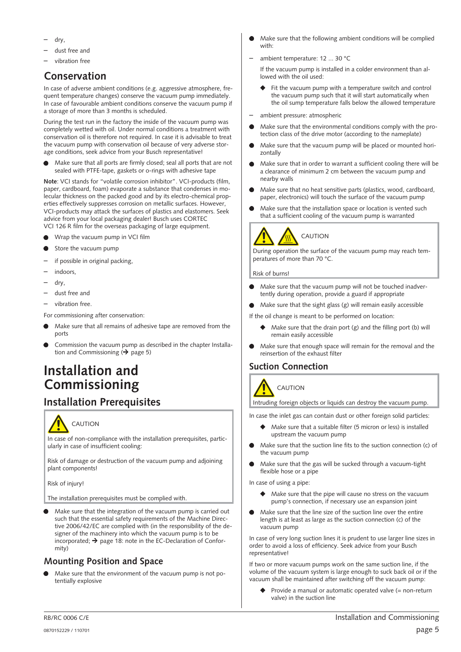- <span id="page-4-0"></span>– dry,
- dust free and
- vibration free

## **Conservation**

In case of adverse ambient conditions (e.g. aggressive atmosphere, frequent temperature changes) conserve the vacuum pump immediately. In case of favourable ambient conditions conserve the vacuum pump if a storage of more than 3 months is scheduled.

During the test run in the factory the inside of the vacuum pump was completely wetted with oil. Under normal conditions a treatment with conservation oil is therefore not required. In case it is advisable to treat the vacuum pump with conservation oil because of very adverse storage conditions, seek advice from your Busch representative!

 Make sure that all ports are firmly closed; seal all ports that are not sealed with PTFE-tape, gaskets or o-rings with adhesive tape

**Note**: VCI stands for "volatile corrosion inhibitor". VCI-products (film, paper, cardboard, foam) evaporate a substance that condenses in molecular thickness on the packed good and by its electro-chemical properties effectively suppresses corrosion on metallic surfaces. However, VCI-products may attack the surfaces of plastics and elastomers. Seek advice from your local packaging dealer! Busch uses CORTEC VCI 126 R film for the overseas packaging of large equipment.

- Wrap the vacuum pump in VCI film
- Store the vacuum pump
- if possible in original packing.
- indoors,
- dry,
- dust free and
- vibration free.

For commissioning after conservation:

- Make sure that all remains of adhesive tape are removed from the ports
- Commission the vacuum pump as described in the chapter Installation and Commissioning ( $\rightarrow$  page [5\)](#page-4-0)

## **Installation and Commissioning**

## **Installation Prerequisites**



In case of non-compliance with the installation prerequisites, particularly in case of insufficient cooling:

Risk of damage or destruction of the vacuum pump and adjoining plant components!

Risk of injury!

The installation prerequisites must be complied with.

 Make sure that the integration of the vacuum pump is carried out such that the essential safety requirements of the Machine Directive 2006/42/EC are complied with (in the responsibility of the designer of the machinery into which the vacuum pump is to be incorporated;  $\rightarrow$  page [18](#page-17-0): note in the EC-Declaration of Conformity)

### **Mounting Position and Space**

 Make sure that the environment of the vacuum pump is not potentially explosive

- Make sure that the following ambient conditions will be complied with:
- ambient temperature: 12 ... 30 °C

If the vacuum pump is installed in a colder environment than allowed with the oil used:

- Fit the vacuum pump with a temperature switch and control the vacuum pump such that it will start automatically when the oil sump temperature falls below the allowed temperature
- ambient pressure: atmospheric
- Make sure that the environmental conditions comply with the protection class of the drive motor (according to the nameplate)
- Make sure that the vacuum pump will be placed or mounted horizontally
- Make sure that in order to warrant a sufficient cooling there will be a clearance of minimum 2 cm between the vacuum pump and nearby walls
- Make sure that no heat sensitive parts (plastics, wood, cardboard, paper, electronics) will touch the surface of the vacuum pump
- Make sure that the installation space or location is vented such that a sufficient cooling of the vacuum pump is warranted



## CAUTION

During operation the surface of the vacuum pump may reach temperatures of more than 70 °C.

Risk of burns!

- Make sure that the vacuum pump will not be touched inadvertently during operation, provide a guard if appropriate
- Make sure that the sight glass (g) will remain easily accessible

If the oil change is meant to be performed on location:

- Make sure that the drain port (g) and the filling port (b) will remain easily accessible
- Make sure that enough space will remain for the removal and the reinsertion of the exhaust filter

### **Suction Connection**

**CAUTION** 



Intruding foreign objects or liquids can destroy the vacuum pump.

In case the inlet gas can contain dust or other foreign solid particles:

- Make sure that a suitable filter (5 micron or less) is installed upstream the vacuum pump
- Make sure that the suction line fits to the suction connection (c) of the vacuum pump
- Make sure that the gas will be sucked through a vacuum-tight flexible hose or a pipe

In case of using a pipe:

- $\blacklozenge$  Make sure that the pipe will cause no stress on the vacuum pump's connection, if necessary use an expansion joint
- Make sure that the line size of the suction line over the entire length is at least as large as the suction connection (c) of the vacuum pump

In case of very long suction lines it is prudent to use larger line sizes in order to avoid a loss of efficiency. Seek advice from your Busch representative!

If two or more vacuum pumps work on the same suction line, if the volume of the vacuum system is large enough to suck back oil or if the vacuum shall be maintained after switching off the vacuum pump:

 Provide a manual or automatic operated valve (= non-return valve) in the suction line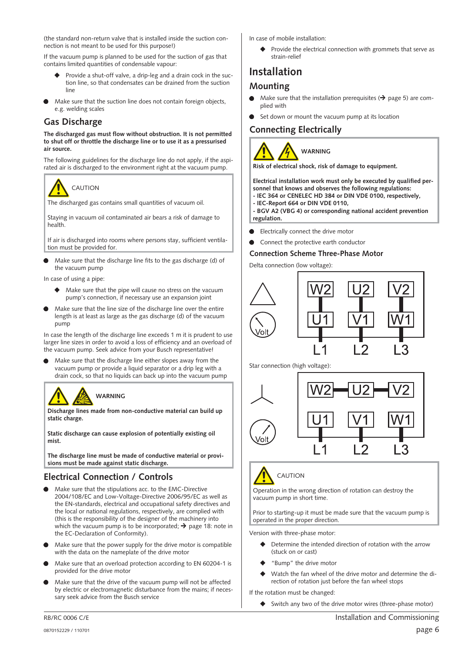<span id="page-5-0"></span>(the standard non-return valve that is installed inside the suction connection is not meant to be used for this purpose!)

If the vacuum pump is planned to be used for the suction of gas that contains limited quantities of condensable vapour:

- Provide a shut-off valve, a drip-leg and a drain cock in the suction line, so that condensates can be drained from the suction line
- Make sure that the suction line does not contain foreign objects, e.g. welding scales

#### **Gas Discharge**

**The discharged gas must flow without obstruction. It is not permitted to shut off or throttle the discharge line or to use it as a pressurised air source.**

The following guidelines for the discharge line do not apply, if the aspirated air is discharged to the environment right at the vacuum pump.



The discharged gas contains small quantities of vacuum oil.

Staying in vacuum oil contaminated air bears a risk of damage to health.

If air is discharged into rooms where persons stay, sufficient ventilation must be provided for.

 Make sure that the discharge line fits to the gas discharge (d) of the vacuum pump

In case of using a pipe:

- $\blacklozenge$  Make sure that the pipe will cause no stress on the vacuum pump's connection, if necessary use an expansion joint
- Make sure that the line size of the discharge line over the entire length is at least as large as the gas discharge (d) of the vacuum pump

In case the length of the discharge line exceeds 1 m it is prudent to use larger line sizes in order to avoid a loss of efficiency and an overload of the vacuum pump. Seek advice from your Busch representative!

 Make sure that the discharge line either slopes away from the vacuum pump or provide a liquid separator or a drip leg with a drain cock, so that no liquids can back up into the vacuum pump

## **WARNING**

**Discharge lines made from non-conductive material can build up static charge.**

**Static discharge can cause explosion of potentially existing oil mist.**

**The discharge line must be made of conductive material or provisions must be made against static discharge.**

### **Electrical Connection / Controls**

- Make sure that the stipulations acc. to the EMC-Directive 2004/108/EC and Low-Voltage-Directive 2006/95/EC as well as the EN-standards, electrical and occupational safety directives and the local or national regulations, respectively, are complied with (this is the responsibility of the designer of the machinery into which the vacuum pump is to be incorporated;  $\rightarrow$  page [18:](#page-17-0) note in the EC-Declaration of Conformity).
- Make sure that the power supply for the drive motor is compatible with the data on the nameplate of the drive motor
- Make sure that an overload protection according to EN 60204-1 is provided for the drive motor
- Make sure that the drive of the vacuum pump will not be affected by electric or electromagnetic disturbance from the mains; if necessary seek advice from the Busch service

In case of mobile installation:

 $\blacklozenge$  Provide the electrical connection with grommets that serve as strain-relief

## **Installation**

### **Mounting**

- Make sure that the installation prerequisites ( $\rightarrow$  page [5](#page-4-0)) are complied with
- Set down or mount the vacuum pump at its location

### **Connecting Electrically**



**Risk of electrical shock, risk of damage to equipment.**

**Electrical installation work must only be executed by qualified personnel that knows and observes the following regulations:**

**- IEC 364 or CENELEC HD 384 or DIN VDE 0100, respectively, - IEC-Report 664 or DIN VDE 0110,**

**- BGV A2 (VBG 4) or corresponding national accident prevention regulation.**

- Electrically connect the drive motor
- Connect the protective earth conductor

#### **Connection Scheme Three-Phase Motor**

Delta connection (low voltage):





Star connection (high voltage):



# CAUTION

Operation in the wrong direction of rotation can destroy the vacuum pump in short time.

Prior to starting-up it must be made sure that the vacuum pump is operated in the proper direction.

Version with three-phase motor:

- Determine the intended direction of rotation with the arrow (stuck on or cast)
- "Bump" the drive motor
- Watch the fan wheel of the drive motor and determine the direction of rotation just before the fan wheel stops

If the rotation must be changed:

Switch any two of the drive motor wires (three-phase motor)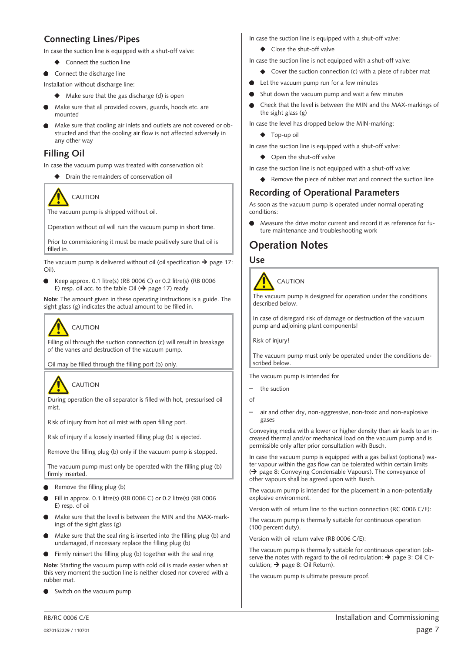### <span id="page-6-0"></span>**Connecting Lines/Pipes**

In case the suction line is equipped with a shut-off valve:

- ◆ Connect the suction line
- Connect the discharge line

Installation without discharge line:

- Make sure that the gas discharge (d) is open
- Make sure that all provided covers, guards, hoods etc. are mounted
- Make sure that cooling air inlets and outlets are not covered or obstructed and that the cooling air flow is not affected adversely in any other way

### **Filling Oil**

In case the vacuum pump was treated with conservation oil:

Drain the remainders of conservation oil



The vacuum pump is shipped without oil.

Operation without oil will ruin the vacuum pump in short time.

Prior to commissioning it must be made positively sure that oil is filled in.

The vacuum pump is delivered without oil (oil specification  $\rightarrow$  page [17:](#page-16-0) Oil).

 Keep approx. 0.1 litre(s) (RB 0006 C) or 0.2 litre(s) (RB 0006 E) resp. oil acc. to the table Oil ( $\rightarrow$  page [17](#page-16-0)) ready

**Note**: The amount given in these operating instructions is a guide. The sight glass (g) indicates the actual amount to be filled in.

## **CAUTION**

Filling oil through the suction connection (c) will result in breakage of the vanes and destruction of the vacuum pump.

Oil may be filled through the filling port (b) only.

## CAUTION

During operation the oil separator is filled with hot, pressurised oil mist.

Risk of injury from hot oil mist with open filling port.

Risk of injury if a loosely inserted filling plug (b) is ejected.

Remove the filling plug (b) only if the vacuum pump is stopped.

The vacuum pump must only be operated with the filling plug (b) firmly inserted.

- Remove the filling plug (b)
- Fill in approx. 0.1 litre(s) (RB 0006 C) or 0.2 litre(s) (RB 0006 E) resp. of oil
- Make sure that the level is between the MIN and the MAX-markings of the sight glass (g)
- Make sure that the seal ring is inserted into the filling plug (b) and undamaged, if necessary replace the filling plug (b)
- Firmly reinsert the filling plug (b) together with the seal ring

**Note**: Starting the vacuum pump with cold oil is made easier when at this very moment the suction line is neither closed nor covered with a rubber mat.

Switch on the vacuum pump

In case the suction line is equipped with a shut-off valve:

- ◆ Close the shut-off valve
- In case the suction line is not equipped with a shut-off valve:
	- ◆ Cover the suction connection (c) with a piece of rubber mat
- Let the vacuum pump run for a few minutes
- Shut down the vacuum pump and wait a few minutes
- Check that the level is between the MIN and the MAX-markings of the sight glass (g)
- In case the level has dropped below the MIN-marking:
	- ◆ Top-up oil
- In case the suction line is equipped with a shut-off valve:
	- ◆ Open the shut-off valve

In case the suction line is not equipped with a shut-off valve:

 $\blacklozenge$  Remove the piece of rubber mat and connect the suction line

### **Recording of Operational Parameters**

As soon as the vacuum pump is operated under normal operating conditions:

 Measure the drive motor current and record it as reference for future maintenance and troubleshooting work

## **Operation Notes**

#### **Use**



The vacuum pump is designed for operation under the conditions described below.

In case of disregard risk of damage or destruction of the vacuum pump and adjoining plant components!

Risk of injury!

The vacuum pump must only be operated under the conditions described below.

The vacuum pump is intended for

the suction

of

– air and other dry, non-aggressive, non-toxic and non-explosive gases

Conveying media with a lower or higher density than air leads to an increased thermal and/or mechanical load on the vacuum pump and is permissible only after prior consultation with Busch.

In case the vacuum pump is equipped with a gas ballast (optional) water vapour within the gas flow can be tolerated within certain limits ( $\rightarrow$  page [8](#page-7-0): Conveying Condensable Vapours). The conveyance of other vapours shall be agreed upon with Busch.

The vacuum pump is intended for the placement in a non-potentially explosive environment.

Version with oil return line to the suction connection (RC 0006 C/E):

The vacuum pump is thermally suitable for continuous operation (100 percent duty).

Version with oil return valve (RB 0006 C/E):

The vacuum pump is thermally suitable for continuous operation (observe the notes with regard to the oil recirculation:  $\rightarrow$  page [3:](#page-2-0) Oil Circulation;  $\rightarrow$  page [8](#page-7-0): Oil Return).

The vacuum pump is ultimate pressure proof.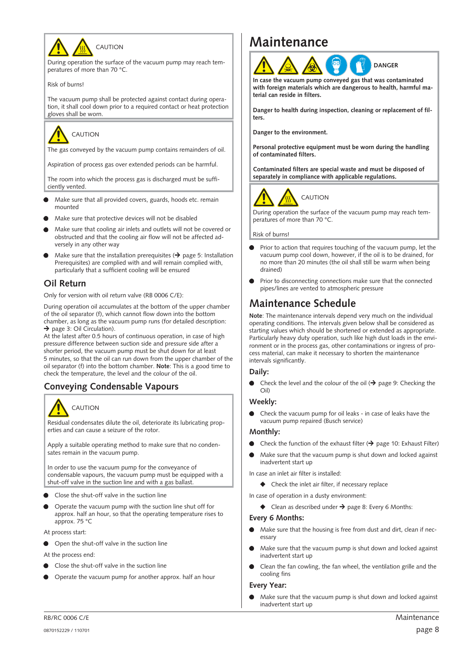<span id="page-7-0"></span>

During operation the surface of the vacuum pump may reach temperatures of more than 70 °C.

Risk of burns!

The vacuum pump shall be protected against contact during operation, it shall cool down prior to a required contact or heat protection gloves shall be worn.

# CAUTION

The gas conveyed by the vacuum pump contains remainders of oil.

Aspiration of process gas over extended periods can be harmful.

The room into which the process gas is discharged must be sufficiently vented.

- Make sure that all provided covers, guards, hoods etc. remain mounted
- Make sure that protective devices will not be disabled
- Make sure that cooling air inlets and outlets will not be covered or obstructed and that the cooling air flow will not be affected adversely in any other way
- Make sure that the installation prerequisites  $($   $\rightarrow$  page [5](#page-4-0): Installation Prerequisites) are complied with and will remain complied with, particularly that a sufficient cooling will be ensured

### **Oil Return**

Only for version with oil return valve (RB 0006 C/E):

During operation oil accumulates at the bottom of the upper chamber of the oil separator (f), which cannot flow down into the bottom chamber, as long as the vacuum pump runs (for detailed description:  $\rightarrow$  page [3:](#page-2-0) Oil Circulation).

At the latest after 0.5 hours of continuous operation, in case of high pressure difference between suction side and pressure side after a shorter period, the vacuum pump must be shut down for at least 5 minutes, so that the oil can run down from the upper chamber of the oil separator (f) into the bottom chamber. **Note**: This is a good time to check the temperature, the level and the colour of the oil.

### **Conveying Condensable Vapours**



Residual condensates dilute the oil, deteriorate its lubricating properties and can cause a seizure of the rotor.

Apply a suitable operating method to make sure that no condensates remain in the vacuum pump.

In order to use the vacuum pump for the conveyance of condensable vapours, the vacuum pump must be equipped with a shut-off valve in the suction line and with a gas ballast.

- Close the shut-off valve in the suction line
- Operate the vacuum pump with the suction line shut off for approx. half an hour, so that the operating temperature rises to approx. 75 °C
- At process start:
- Open the shut-off valve in the suction line
- At the process end:
- Close the shut-off valve in the suction line
- Operate the vacuum pump for another approx. half an hour

## **Maintenance**



**In case the vacuum pump conveyed gas that was contaminated with foreign materials which are dangerous to health, harmful material can reside in filters.**

**Danger to health during inspection, cleaning or replacement of filters.**

**Danger to the environment.**

**Personal protective equipment must be worn during the handling of contaminated filters.**

**Contaminated filters are special waste and must be disposed of separately in compliance with applicable regulations.**





During operation the surface of the vacuum pump may reach temperatures of more than 70 °C.

Risk of burns!

- Prior to action that requires touching of the vacuum pump, let the vacuum pump cool down, however, if the oil is to be drained, for no more than 20 minutes (the oil shall still be warm when being drained)
- Prior to disconnecting connections make sure that the connected pipes/lines are vented to atmospheric pressure

## **Maintenance Schedule**

**Note**: The maintenance intervals depend very much on the individual operating conditions. The intervals given below shall be considered as starting values which should be shortened or extended as appropriate. Particularly heavy duty operation, such like high dust loads in the environment or in the process gas, other contaminations or ingress of process material, can make it necessary to shorten the maintenance intervals significantly.

#### **Daily:**

Check the level and the colour of the oil ( $\rightarrow$  page [9](#page-8-0): Checking the Oil)

#### **Weekly:**

 Check the vacuum pump for oil leaks - in case of leaks have the vacuum pump repaired (Busch service)

#### **Monthly:**

- $\bullet$  Check the function of the exhaust filter ( $\rightarrow$  page [10:](#page-9-0) Exhaust Filter)
- Make sure that the vacuum pump is shut down and locked against inadvertent start up

In case an inlet air filter is installed:

 $\blacklozenge$  Check the inlet air filter, if necessary replace

In case of operation in a dusty environment:

 $\blacklozenge$  Clean as described under  $\rightarrow$  page [8:](#page-7-0) Every 6 Months:

#### **Every 6 Months:**

- Make sure that the housing is free from dust and dirt, clean if necessary
- Make sure that the vacuum pump is shut down and locked against inadvertent start up
- Clean the fan cowling, the fan wheel, the ventilation grille and the cooling fins

#### **Every Year:**

 Make sure that the vacuum pump is shut down and locked against inadvertent start up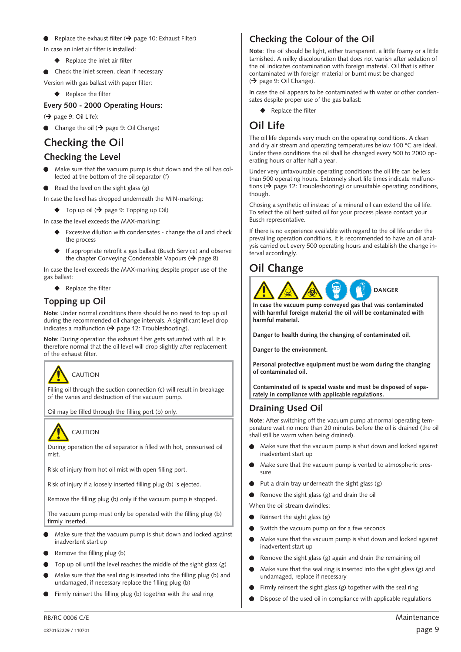#### <span id="page-8-0"></span>Replace the exhaust filter ( $\rightarrow$  page [10:](#page-9-0) Exhaust Filter)

In case an inlet air filter is installed:

- ◆ Replace the inlet air filter
- Check the inlet screen, clean if necessary

Version with gas ballast with paper filter:

#### $\blacklozenge$  Replace the filter

#### **Every 500 - 2000 Operating Hours:**

 $\leftrightarrow$  page [9](#page-8-0): Oil Life):

Change the oil ( $\rightarrow$  page [9:](#page-8-0) Oil Change)

## **Checking the Oil**

### **Checking the Level**

- Make sure that the vacuum pump is shut down and the oil has collected at the bottom of the oil separator (f)
- Read the level on the sight glass (g)

In case the level has dropped underneath the MIN-marking:

 $\blacklozenge$  Top up oil  $\blacklozenge$  page [9](#page-8-0): Topping up Oil)

In case the level exceeds the MAX-marking:

- Excessive dilution with condensates change the oil and check the process
- If appropriate retrofit a gas ballast (Busch Service) and observe the chapter Conveying Condensable Vapours ( $\rightarrow$  page [8](#page-7-0))

In case the level exceeds the MAX-marking despite proper use of the gas ballast:

◆ Replace the filter

### **Topping up Oil**

**Note**: Under normal conditions there should be no need to top up oil during the recommended oil change intervals. A significant level drop indicates a malfunction  $\leftrightarrow$  page [12:](#page-11-0) Troubleshooting).

**Note**: During operation the exhaust filter gets saturated with oil. It is therefore normal that the oil level will drop slightly after replacement of the exhaust filter.



Filling oil through the suction connection (c) will result in breakage of the vanes and destruction of the vacuum pump.

Oil may be filled through the filling port (b) only.



During operation the oil separator is filled with hot, pressurised oil mist.

Risk of injury from hot oil mist with open filling port.

Risk of injury if a loosely inserted filling plug (b) is ejected.

Remove the filling plug (b) only if the vacuum pump is stopped.

The vacuum pump must only be operated with the filling plug (b) firmly inserted.

- Make sure that the vacuum pump is shut down and locked against inadvertent start up
- Remove the filling plug (b)
- Top up oil until the level reaches the middle of the sight glass (g)
- Make sure that the seal ring is inserted into the filling plug (b) and undamaged, if necessary replace the filling plug (b)
- Firmly reinsert the filling plug (b) together with the seal ring

### **Checking the Colour of the Oil**

**Note**: The oil should be light, either transparent, a little foamy or a little tarnished. A milky discolouration that does not vanish after sedation of the oil indicates contamination with foreign material. Oil that is either contaminated with foreign material or burnt must be changed  $($   $\rightarrow$  page [9](#page-8-0): Oil Change).

In case the oil appears to be contaminated with water or other condensates despite proper use of the gas ballast:

◆ Replace the filter

## **Oil Life**

The oil life depends very much on the operating conditions. A clean and dry air stream and operating temperatures below 100 °C are ideal. Under these conditions the oil shall be changed every 500 to 2000 operating hours or after half a year.

Under very unfavourable operating conditions the oil life can be less than 500 operating hours. Extremely short life times indicate malfunctions ( $\rightarrow$  page [12](#page-11-0): Troubleshooting) or unsuitable operating conditions, though.

Chosing a synthetic oil instead of a mineral oil can extend the oil life. To select the oil best suited oil for your process please contact your Busch representative.

If there is no experience available with regard to the oil life under the prevailing operation conditions, it is recommended to have an oil analysis carried out every 500 operating hours and establish the change interval accordingly.

## **Oil Change**



**In case the vacuum pump conveyed gas that was contaminated with harmful foreign material the oil will be contaminated with harmful material.**

**Danger to health during the changing of contaminated oil.**

**Danger to the environment.**

**Personal protective equipment must be worn during the changing of contaminated oil.**

**Contaminated oil is special waste and must be disposed of separately in compliance with applicable regulations.**

### **Draining Used Oil**

**Note**: After switching off the vacuum pump at normal operating temperature wait no more than 20 minutes before the oil is drained (the oil shall still be warm when being drained).

- Make sure that the vacuum pump is shut down and locked against inadvertent start up
- Make sure that the vacuum pump is vented to atmospheric pressure
- Put a drain tray underneath the sight glass (g)
- Remove the sight glass (g) and drain the oil

When the oil stream dwindles:

- Reinsert the sight glass (g)
- Switch the vacuum pump on for a few seconds
- Make sure that the vacuum pump is shut down and locked against inadvertent start up
- Remove the sight glass (g) again and drain the remaining oil
- Make sure that the seal ring is inserted into the sight glass (g) and undamaged, replace if necessary
- Firmly reinsert the sight glass (g) together with the seal ring
- Dispose of the used oil in compliance with applicable regulations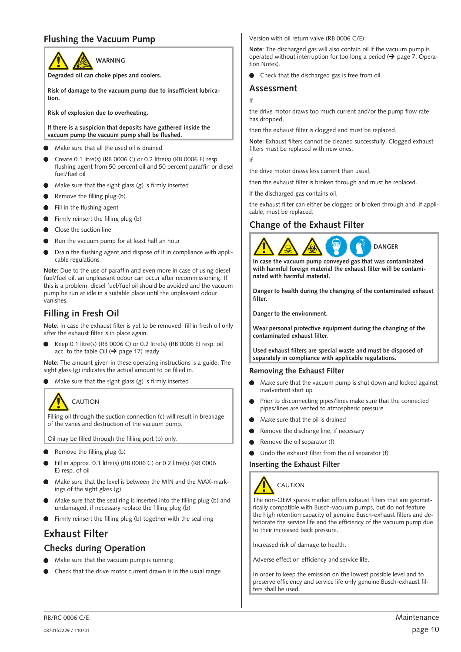### <span id="page-9-0"></span>**Flushing the Vacuum Pump**



**Degraded oil can choke pipes and coolers.**

**Risk of damage to the vacuum pump due to insufficient lubrication.**

**Risk of explosion due to overheating.**

**If there is a suspicion that deposits have gathered inside the vacuum pump the vacuum pump shall be flushed.**

- Make sure that all the used oil is drained
- Create 0.1 litre(s) (RB 0006 C) or 0.2 litre(s) (RB 0006 E) resp. flushing agent from 50 percent oil and 50 percent paraffin or diesel fuel/fuel oil
- Make sure that the sight glass (g) is firmly inserted
- Remove the filling plug (b)
- **Fill in the flushing agent**
- Firmly reinsert the filling plug (b)
- Close the suction line
- Run the vacuum pump for at least half an hour
- Drain the flushing agent and dispose of it in compliance with applicable regulations

**Note**: Due to the use of paraffin and even more in case of using diesel fuel/fuel oil, an unpleasant odour can occur after recommissioning. If this is a problem, diesel fuel/fuel oil should be avoided and the vacuum pump be run at idle in a suitable place until the unpleasant odour vanishes.

### **Filling in Fresh Oil**

**Note**: In case the exhaust filter is yet to be removed, fill in fresh oil only after the exhaust filter is in place again.

 Keep 0.1 litre(s) (RB 0006 C) or 0.2 litre(s) (RB 0006 E) resp. oil acc. to the table Oil ( $\rightarrow$  page [17\)](#page-16-0) ready

**Note**: The amount given in these operating instructions is a guide. The sight glass (g) indicates the actual amount to be filled in.

Make sure that the sight glass (g) is firmly inserted



Filling oil through the suction connection (c) will result in breakage of the vanes and destruction of the vacuum pump.

Oil may be filled through the filling port (b) only.

- Remove the filling plug (b)
- Fill in approx. 0.1 litre(s) (RB 0006 C) or 0.2 litre(s) (RB 0006 E) resp. of oil
- Make sure that the level is between the MIN and the MAX-markings of the sight glass (g)
- Make sure that the seal ring is inserted into the filling plug (b) and undamaged, if necessary replace the filling plug (b)
- Firmly reinsert the filling plug (b) together with the seal ring

## **Exhaust Filter**

### **Checks during Operation**

- Make sure that the vacuum pump is running
- Check that the drive motor current drawn is in the usual range

Version with oil return valve (RB 0006 C/E):

**Note**: The discharged gas will also contain oil if the vacuum pump is operated without interruption for too long a period  $($   $\rightarrow$  page [7](#page-6-0): Operation Notes).

Check that the discharged gas is free from oil

#### **Assessment**

If

the drive motor draws too much current and/or the pump flow rate has dropped,

then the exhaust filter is clogged and must be replaced.

**Note**: Exhaust filters cannot be cleaned successfully. Clogged exhaust filters must be replaced with new ones.

If

the drive motor draws less current than usual,

then the exhaust filter is broken through and must be replaced.

If the discharged gas contains oil,

the exhaust filter can either be clogged or broken through and, if applicable, must be replaced.

### **Change of the Exhaust Filter**



**In case the vacuum pump conveyed gas that was contaminated with harmful foreign material the exhaust filter will be contaminated with harmful material.**

**Danger to health during the changing of the contaminated exhaust filter.**

**Danger to the environment.**

**Wear personal protective equipment during the changing of the contaminated exhaust filter.**

**Used exhaust filters are special waste and must be disposed of separately in compliance with applicable regulations.**

#### **Removing the Exhaust Filter**

- Make sure that the vacuum pump is shut down and locked against inadvertent start up
- Prior to disconnecting pipes/lines make sure that the connected pipes/lines are vented to atmospheric pressure
- Make sure that the oil is drained
- **•** Remove the discharge line, if necessary
- Remove the oil separator (f)
- Undo the exhaust filter from the oil separator (f)

#### **Inserting the Exhaust Filter**



The non-OEM spares market offers exhaust filters that are geometrically compatible with Busch-vacuum pumps, but do not feature the high retention capacity of genuine Busch-exhaust filters and deteriorate the service life and the efficiency of the vacuum pump due to their increased back pressure.

Increased risk of damage to health.

Adverse effect on efficiency and service life.

In order to keep the emission on the lowest possible level and to preserve efficiency and service life only genuine Busch-exhaust filters shall be used.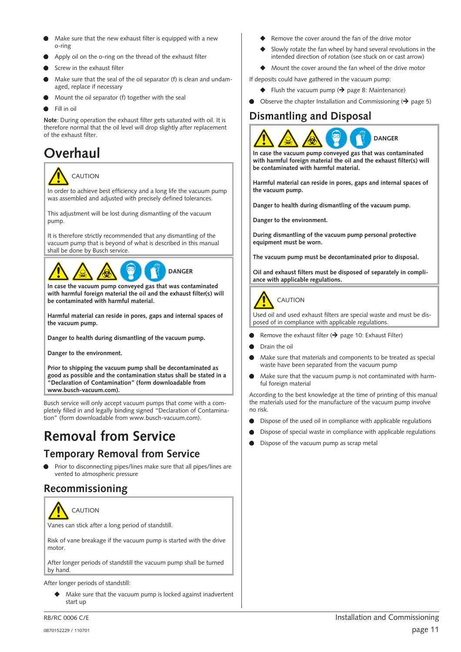- <span id="page-10-0"></span> Make sure that the new exhaust filter is equipped with a new o-ring
- Apply oil on the o-ring on the thread of the exhaust filter
- Screw in the exhaust filter
- Make sure that the seal of the oil separator (f) is clean and undamaged, replace if necessary
- Mount the oil separator (f) together with the seal
- Fill in oil

**Note**: During operation the exhaust filter gets saturated with oil. It is therefore normal that the oil level will drop slightly after replacement of the exhaust filter.

## **Overhaul**



In order to achieve best efficiency and a long life the vacuum pump was assembled and adjusted with precisely defined tolerances.

This adjustment will be lost during dismantling of the vacuum pump.

It is therefore strictly recommended that any dismantling of the vacuum pump that is beyond of what is described in this manual shall be done by Busch service.



**In case the vacuum pump conveyed gas that was contaminated with harmful foreign material the oil and the exhaust filter(s) will be contaminated with harmful material.**

**Harmful material can reside in pores, gaps and internal spaces of the vacuum pump.**

**Danger to health during dismantling of the vacuum pump.**

**Danger to the environment.**

**Prior to shipping the vacuum pump shall be decontaminated as good as possible and the contamination status shall be stated in a "Declaration of Contamination" (form downloadable from www.busch-vacuum.com).**

Busch service will only accept vacuum pumps that come with a completely filled in and legally binding signed "Declaration of Contamination" (form downloadable from www.busch-vacuum.com).

## **Removal from Service**

## **Temporary Removal from Service**

**•** Prior to disconnecting pipes/lines make sure that all pipes/lines are vented to atmospheric pressure

## **Recommissioning**



Vanes can stick after a long period of standstill.

Risk of vane breakage if the vacuum pump is started with the drive motor.

After longer periods of standstill the vacuum pump shall be turned by hand.

After longer periods of standstill:

 Make sure that the vacuum pump is locked against inadvertent start up

- Remove the cover around the fan of the drive motor
- Slowly rotate the fan wheel by hand several revolutions in the intended direction of rotation (see stuck on or cast arrow)
- Mount the cover around the fan wheel of the drive motor
- If deposits could have gathered in the vacuum pump:
	- $\blacklozenge$  Flush the vacuum pump ( $\blacktriangleright$  page [8:](#page-7-0) Maintenance)
- Observe the chapter Installation and Commissioning ( $\rightarrow$  page [5](#page-4-0))

## **Dismantling and Disposal**



**In case the vacuum pump conveyed gas that was contaminated with harmful foreign material the oil and the exhaust filter(s) will be contaminated with harmful material.**

**Harmful material can reside in pores, gaps and internal spaces of the vacuum pump.**

**Danger to health during dismantling of the vacuum pump.**

**Danger to the environment.**

**During dismantling of the vacuum pump personal protective equipment must be worn.**

**The vacuum pump must be decontaminated prior to disposal.**

**Oil and exhaust filters must be disposed of separately in compliance with applicable regulations.**



## CAUTION

Used oil and used exhaust filters are special waste and must be disposed of in compliance with applicable regulations.

- Remove the exhaust filter ( $\rightarrow$  page [10](#page-9-0): Exhaust Filter)
- Drain the oil
- Make sure that materials and components to be treated as special waste have been separated from the vacuum pump
- Make sure that the vacuum pump is not contaminated with harmful foreign material

According to the best knowledge at the time of printing of this manual the materials used for the manufacture of the vacuum pump involve no risk.

- Dispose of the used oil in compliance with applicable regulations
- Dispose of special waste in compliance with applicable regulations
- Dispose of the vacuum pump as scrap metal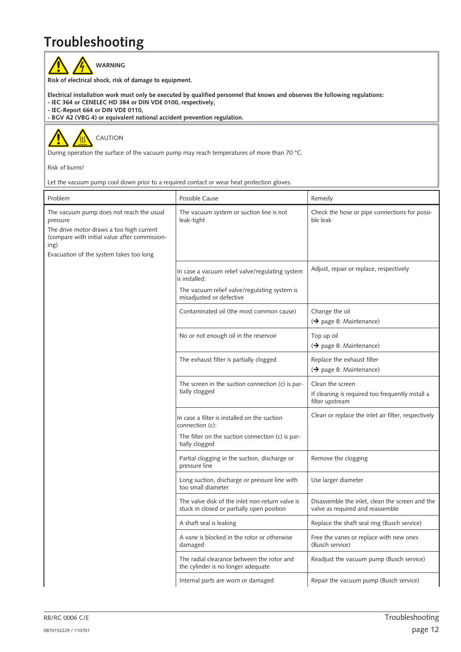## <span id="page-11-0"></span>**Troubleshooting**

WARNING

**Risk of electrical shock, risk of damage to equipment.**

- **Electrical installation work must only be executed by qualified personnel that knows and observes the following regulations:**
- **IEC 364 or CENELEC HD 384 or DIN VDE 0100, respectively,**

**- IEC-Report 664 or DIN VDE 0110,**

**- BGV A2 (VBG 4) or equivalent national accident prevention regulation.**



During operation the surface of the vacuum pump may reach temperatures of more than 70 °C.

Risk of burns!

Let the vacuum pump cool down prior to a required contact or wear heat protection gloves.

| Problem                                                                                                                                                                                              | Possible Cause                                                                                                                               | Remedy                                                                                  |
|------------------------------------------------------------------------------------------------------------------------------------------------------------------------------------------------------|----------------------------------------------------------------------------------------------------------------------------------------------|-----------------------------------------------------------------------------------------|
| The vacuum pump does not reach the usual<br>pressure<br>The drive motor draws a too high current<br>(compare with initial value after commission-<br>ing)<br>Evacuation of the system takes too long | The vacuum system or suction line is not<br>leak-tight                                                                                       | Check the hose or pipe connections for possi-<br>ble leak                               |
|                                                                                                                                                                                                      | In case a vacuum relief valve/regulating system<br>is installed:<br>The vacuum relief valve/regulating system is<br>misadjusted or defective | Adjust, repair or replace, respectively                                                 |
|                                                                                                                                                                                                      | Contaminated oil (the most common cause)                                                                                                     | Change the oil<br>$\Theta$ page 8: Maintenance)                                         |
|                                                                                                                                                                                                      | No or not enough oil in the reservoir                                                                                                        | Top up oil<br>$\leftrightarrow$ page 8: Maintenance)                                    |
|                                                                                                                                                                                                      | The exhaust filter is partially clogged                                                                                                      | Replace the exhaust filter<br>$\rightarrow$ page 8: Maintenance)                        |
|                                                                                                                                                                                                      | The screen in the suction connection (c) is par-<br>tially clogged                                                                           | Clean the screen<br>If cleaning is required too frequently install a<br>filter upstream |
|                                                                                                                                                                                                      | In case a filter is installed on the suction<br>connection (c):<br>The filter on the suction connection (c) is par-<br>tially clogged        | Clean or replace the inlet air filter, respectively                                     |
|                                                                                                                                                                                                      | Partial clogging in the suction, discharge or<br>pressure line                                                                               | Remove the clogging                                                                     |
|                                                                                                                                                                                                      | Long suction, discharge or pressure line with<br>too small diameter                                                                          | Use larger diameter                                                                     |
|                                                                                                                                                                                                      | The valve disk of the inlet non-return valve is<br>stuck in closed or partially open position                                                | Disassemble the inlet, clean the screen and the<br>valve as required and reassemble     |
|                                                                                                                                                                                                      | A shaft seal is leaking                                                                                                                      | Replace the shaft seal ring (Busch service)                                             |
|                                                                                                                                                                                                      | A vane is blocked in the rotor or otherwise<br>damaged                                                                                       | Free the vanes or replace with new ones<br>(Busch service)                              |
|                                                                                                                                                                                                      | The radial clearance between the rotor and<br>the cylinder is no longer adequate                                                             | Readjust the vacuum pump (Busch service)                                                |
|                                                                                                                                                                                                      | Internal parts are worn or damaged                                                                                                           | Repair the vacuum pump (Busch service)                                                  |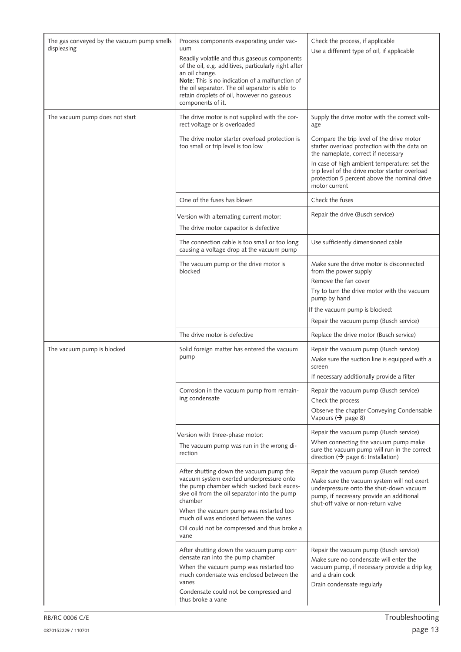| The gas conveyed by the vacuum pump smells<br>displeasing | Process components evaporating under vac-<br>uum<br>Readily volatile and thus gaseous components<br>of the oil, e.g. additives, particularly right after<br>an oil change.<br>Note: This is no indication of a malfunction of<br>the oil separator. The oil separator is able to<br>retain droplets of oil, however no gaseous<br>components of it. | Check the process, if applicable<br>Use a different type of oil, if applicable                                                                                                                                                                                                                                                                              |
|-----------------------------------------------------------|-----------------------------------------------------------------------------------------------------------------------------------------------------------------------------------------------------------------------------------------------------------------------------------------------------------------------------------------------------|-------------------------------------------------------------------------------------------------------------------------------------------------------------------------------------------------------------------------------------------------------------------------------------------------------------------------------------------------------------|
| The vacuum pump does not start                            | The drive motor is not supplied with the cor-<br>rect voltage or is overloaded<br>The drive motor starter overload protection is<br>too small or trip level is too low                                                                                                                                                                              | Supply the drive motor with the correct volt-<br>age<br>Compare the trip level of the drive motor<br>starter overload protection with the data on<br>the nameplate, correct if necessary<br>In case of high ambient temperature: set the<br>trip level of the drive motor starter overload<br>protection 5 percent above the nominal drive<br>motor current |
|                                                           | One of the fuses has blown                                                                                                                                                                                                                                                                                                                          | Check the fuses                                                                                                                                                                                                                                                                                                                                             |
|                                                           | Version with alternating current motor:<br>The drive motor capacitor is defective                                                                                                                                                                                                                                                                   | Repair the drive (Busch service)                                                                                                                                                                                                                                                                                                                            |
|                                                           | The connection cable is too small or too long<br>causing a voltage drop at the vacuum pump                                                                                                                                                                                                                                                          | Use sufficiently dimensioned cable                                                                                                                                                                                                                                                                                                                          |
|                                                           | The vacuum pump or the drive motor is<br>blocked                                                                                                                                                                                                                                                                                                    | Make sure the drive motor is disconnected<br>from the power supply<br>Remove the fan cover<br>Try to turn the drive motor with the vacuum<br>pump by hand<br>If the vacuum pump is blocked:<br>Repair the vacuum pump (Busch service)                                                                                                                       |
|                                                           | The drive motor is defective                                                                                                                                                                                                                                                                                                                        | Replace the drive motor (Busch service)                                                                                                                                                                                                                                                                                                                     |
| The vacuum pump is blocked                                | Solid foreign matter has entered the vacuum<br>pump                                                                                                                                                                                                                                                                                                 | Repair the vacuum pump (Busch service)<br>Make sure the suction line is equipped with a<br>screen<br>If necessary additionally provide a filter                                                                                                                                                                                                             |
|                                                           | Corrosion in the vacuum pump from remain-<br>ing condensate                                                                                                                                                                                                                                                                                         | Repair the vacuum pump (Busch service)<br>Check the process<br>Observe the chapter Conveying Condensable<br>Vapours ( $\rightarrow$ page 8)                                                                                                                                                                                                                 |
|                                                           | Version with three-phase motor:<br>The vacuum pump was run in the wrong di-<br>rection                                                                                                                                                                                                                                                              | Repair the vacuum pump (Busch service)<br>When connecting the vacuum pump make<br>sure the vacuum pump will run in the correct<br>direction ( $\rightarrow$ page 6: Installation)                                                                                                                                                                           |
|                                                           | After shutting down the vacuum pump the<br>vacuum system exerted underpressure onto<br>the pump chamber which sucked back exces-<br>sive oil from the oil separator into the pump<br>chamber<br>When the vacuum pump was restarted too<br>much oil was enclosed between the vanes<br>Oil could not be compressed and thus broke a<br>vane           | Repair the vacuum pump (Busch service)<br>Make sure the vacuum system will not exert<br>underpressure onto the shut-down vacuum<br>pump, if necessary provide an additional<br>shut-off valve or non-return valve                                                                                                                                           |
|                                                           | After shutting down the vacuum pump con-<br>densate ran into the pump chamber<br>When the vacuum pump was restarted too<br>much condensate was enclosed between the<br>vanes<br>Condensate could not be compressed and<br>thus broke a vane                                                                                                         | Repair the vacuum pump (Busch service)<br>Make sure no condensate will enter the<br>vacuum pump, if necessary provide a drip leg<br>and a drain cock<br>Drain condensate regularly                                                                                                                                                                          |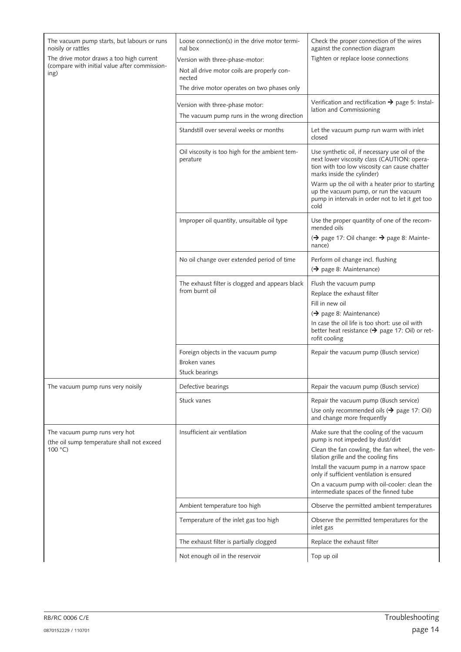| The vacuum pump starts, but labours or runs<br>noisily or rattles<br>The drive motor draws a too high current<br>(compare with initial value after commission-<br>ing) | Loose connection(s) in the drive motor termi-<br>nal box<br>Version with three-phase-motor:<br>Not all drive motor coils are properly con-<br>nected<br>The drive motor operates on two phases only | Check the proper connection of the wires<br>against the connection diagram<br>Tighten or replace loose connections                                                           |
|------------------------------------------------------------------------------------------------------------------------------------------------------------------------|-----------------------------------------------------------------------------------------------------------------------------------------------------------------------------------------------------|------------------------------------------------------------------------------------------------------------------------------------------------------------------------------|
|                                                                                                                                                                        | Version with three-phase motor:<br>The vacuum pump runs in the wrong direction                                                                                                                      | Verification and rectification $\rightarrow$ page 5: Instal-<br>lation and Commissioning                                                                                     |
|                                                                                                                                                                        | Standstill over several weeks or months                                                                                                                                                             | Let the vacuum pump run warm with inlet<br>closed                                                                                                                            |
|                                                                                                                                                                        | Oil viscosity is too high for the ambient tem-<br>perature                                                                                                                                          | Use synthetic oil, if necessary use oil of the<br>next lower viscosity class (CAUTION: opera-<br>tion with too low viscosity can cause chatter<br>marks inside the cylinder) |
|                                                                                                                                                                        |                                                                                                                                                                                                     | Warm up the oil with a heater prior to starting<br>up the vacuum pump, or run the vacuum<br>pump in intervals in order not to let it get too<br>cold                         |
|                                                                                                                                                                        | Improper oil quantity, unsuitable oil type                                                                                                                                                          | Use the proper quantity of one of the recom-<br>mended oils<br>(→ page 17: Oil change: → page 8: Mainte-<br>nance)                                                           |
|                                                                                                                                                                        | No oil change over extended period of time                                                                                                                                                          | Perform oil change incl. flushing<br>$\leftrightarrow$ page 8: Maintenance)                                                                                                  |
|                                                                                                                                                                        | The exhaust filter is clogged and appears black<br>from burnt oil                                                                                                                                   | Flush the vacuum pump<br>Replace the exhaust filter<br>Fill in new oil<br>$\leftrightarrow$ page 8: Maintenance)                                                             |
|                                                                                                                                                                        |                                                                                                                                                                                                     | In case the oil life is too short: use oil with<br>better heat resistance ( $\rightarrow$ page 17: Oil) or ret-<br>rofit cooling                                             |
|                                                                                                                                                                        | Foreign objects in the vacuum pump<br>Broken vanes<br>Stuck bearings                                                                                                                                | Repair the vacuum pump (Busch service)                                                                                                                                       |
| The vacuum pump runs very noisily                                                                                                                                      | Defective bearings                                                                                                                                                                                  | Repair the vacuum pump (Busch service)                                                                                                                                       |
|                                                                                                                                                                        | Stuck vanes                                                                                                                                                                                         | Repair the vacuum pump (Busch service)<br>Use only recommended oils $(\rightarrow)$ page 17: Oil)<br>and change more frequently                                              |
| The vacuum pump runs very hot<br>(the oil sump temperature shall not exceed<br>100 °C                                                                                  | Insufficient air ventilation                                                                                                                                                                        | Make sure that the cooling of the vacuum<br>pump is not impeded by dust/dirt<br>Clean the fan cowling, the fan wheel, the ven-                                               |
|                                                                                                                                                                        |                                                                                                                                                                                                     | tilation grille and the cooling fins<br>Install the vacuum pump in a narrow space                                                                                            |
|                                                                                                                                                                        |                                                                                                                                                                                                     | only if sufficient ventilation is ensured<br>On a vacuum pump with oil-cooler: clean the<br>intermediate spaces of the finned tube                                           |
|                                                                                                                                                                        | Ambient temperature too high                                                                                                                                                                        | Observe the permitted ambient temperatures                                                                                                                                   |
|                                                                                                                                                                        | Temperature of the inlet gas too high                                                                                                                                                               | Observe the permitted temperatures for the<br>inlet gas                                                                                                                      |
|                                                                                                                                                                        | The exhaust filter is partially clogged                                                                                                                                                             | Replace the exhaust filter                                                                                                                                                   |
|                                                                                                                                                                        | Not enough oil in the reservoir                                                                                                                                                                     | Top up oil                                                                                                                                                                   |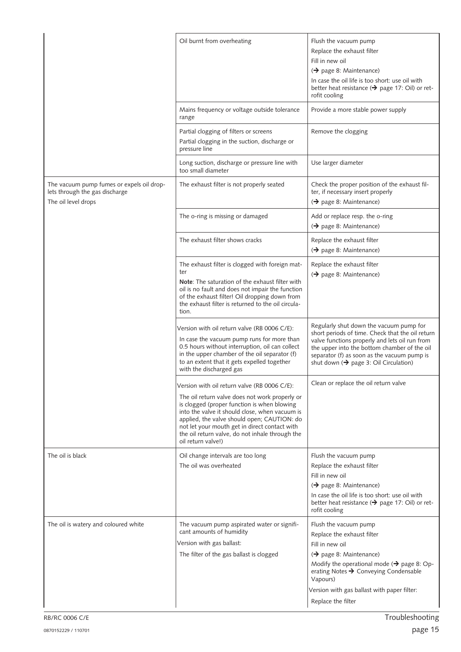|                                                                                                    | Oil burnt from overheating                                                                                                                                                                                                                                                                                                                                               | Flush the vacuum pump<br>Replace the exhaust filter<br>Fill in new oil<br>$\leftrightarrow$ page 8: Maintenance)<br>In case the oil life is too short: use oil with<br>better heat resistance ( $\rightarrow$ page 17: Oil) or ret-<br>rofit cooling                                                  |
|----------------------------------------------------------------------------------------------------|--------------------------------------------------------------------------------------------------------------------------------------------------------------------------------------------------------------------------------------------------------------------------------------------------------------------------------------------------------------------------|-------------------------------------------------------------------------------------------------------------------------------------------------------------------------------------------------------------------------------------------------------------------------------------------------------|
|                                                                                                    | Mains frequency or voltage outside tolerance<br>range                                                                                                                                                                                                                                                                                                                    | Provide a more stable power supply                                                                                                                                                                                                                                                                    |
|                                                                                                    | Partial clogging of filters or screens<br>Partial clogging in the suction, discharge or<br>pressure line                                                                                                                                                                                                                                                                 | Remove the clogging                                                                                                                                                                                                                                                                                   |
|                                                                                                    | Long suction, discharge or pressure line with<br>too small diameter                                                                                                                                                                                                                                                                                                      | Use larger diameter                                                                                                                                                                                                                                                                                   |
| The vacuum pump fumes or expels oil drop-<br>lets through the gas discharge<br>The oil level drops | The exhaust filter is not properly seated                                                                                                                                                                                                                                                                                                                                | Check the proper position of the exhaust fil-<br>ter, if necessary insert properly<br>$\leftrightarrow$ page 8: Maintenance)                                                                                                                                                                          |
|                                                                                                    | The o-ring is missing or damaged                                                                                                                                                                                                                                                                                                                                         | Add or replace resp. the o-ring<br>$\leftrightarrow$ page 8: Maintenance)                                                                                                                                                                                                                             |
|                                                                                                    | The exhaust filter shows cracks                                                                                                                                                                                                                                                                                                                                          | Replace the exhaust filter<br>$\leftrightarrow$ page 8: Maintenance)                                                                                                                                                                                                                                  |
|                                                                                                    | The exhaust filter is clogged with foreign mat-<br>ter<br>Note: The saturation of the exhaust filter with<br>oil is no fault and does not impair the function<br>of the exhaust filter! Oil dropping down from<br>the exhaust filter is returned to the oil circula-<br>tion.                                                                                            | Replace the exhaust filter<br>$\leftrightarrow$ page 8: Maintenance)                                                                                                                                                                                                                                  |
|                                                                                                    | Version with oil return valve (RB 0006 C/E):<br>In case the vacuum pump runs for more than<br>0.5 hours without interruption, oil can collect<br>in the upper chamber of the oil separator (f)<br>to an extent that it gets expelled together<br>with the discharged gas                                                                                                 | Regularly shut down the vacuum pump for<br>short periods of time. Check that the oil return<br>valve functions properly and lets oil run from<br>the upper into the bottom chamber of the oil<br>separator (f) as soon as the vacuum pump is<br>shut down $($ $\rightarrow$ page 3: Oil Circulation)  |
|                                                                                                    | Version with oil return valve (RB 0006 C/E):<br>The oil return valve does not work properly or<br>is clogged (proper function is when blowing<br>into the valve it should close, when vacuum is<br>applied, the valve should open; CAUTION: do<br>not let your mouth get in direct contact with<br>the oil return valve, do not inhale through the<br>oil return valve!) | Clean or replace the oil return valve                                                                                                                                                                                                                                                                 |
| The oil is black                                                                                   | Oil change intervals are too long<br>The oil was overheated                                                                                                                                                                                                                                                                                                              | Flush the vacuum pump<br>Replace the exhaust filter<br>Fill in new oil<br>$\leftrightarrow$ page 8: Maintenance)<br>In case the oil life is too short: use oil with<br>better heat resistance (→ page 17: Oil) or ret-<br>rofit cooling                                                               |
| The oil is watery and coloured white                                                               | The vacuum pump aspirated water or signifi-<br>cant amounts of humidity<br>Version with gas ballast:<br>The filter of the gas ballast is clogged                                                                                                                                                                                                                         | Flush the vacuum pump<br>Replace the exhaust filter<br>Fill in new oil<br>$\leftrightarrow$ page 8: Maintenance)<br>Modify the operational mode ( $\rightarrow$ page 8: Op-<br>erating Notes → Conveying Condensable<br>Vapours)<br>Version with gas ballast with paper filter:<br>Replace the filter |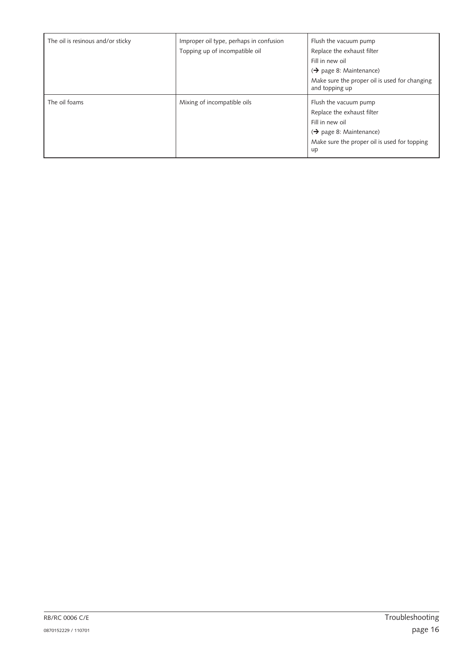| The oil is resinous and/or sticky | Improper oil type, perhaps in confusion<br>Topping up of incompatible oil | Flush the vacuum pump<br>Replace the exhaust filter<br>Fill in new oil<br>$\leftrightarrow$ page 8: Maintenance)<br>Make sure the proper oil is used for changing<br>and topping up |
|-----------------------------------|---------------------------------------------------------------------------|-------------------------------------------------------------------------------------------------------------------------------------------------------------------------------------|
| The oil foams                     | Mixing of incompatible oils                                               | Flush the vacuum pump<br>Replace the exhaust filter<br>Fill in new oil<br>$\leftrightarrow$ page 8: Maintenance)<br>Make sure the proper oil is used for topping<br>up              |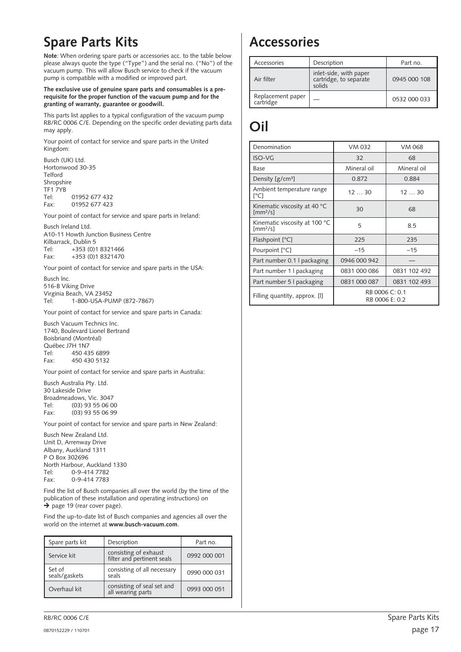## <span id="page-16-0"></span>**Spare Parts Kits**

**Note**: When ordering spare parts or accessories acc. to the table below please always quote the type ("Type") and the serial no. ("No") of the vacuum pump. This will allow Busch service to check if the vacuum pump is compatible with a modified or improved part.

#### **The exclusive use of genuine spare parts and consumables is a prerequisite for the proper function of the vacuum pump and for the granting of warranty, guarantee or goodwill.**

This parts list applies to a typical configuration of the vacuum pump RB/RC 0006 C/E. Depending on the specific order deviating parts data may apply.

Your point of contact for service and spare parts in the United Kingdom:

Busch (UK) Ltd. Hortonwood 30-35 Telford Shropshire TF1 7YB Tel: 01952 677 432 Fax: 01952 677 423

Your point of contact for service and spare parts in Ireland:

Busch Ireland Ltd. A10-11 Howth Junction Business Centre Kilbarrack, Dublin 5 Tel: +353 (0)1 8321466 Fax: +353 (0)1 8321470

Your point of contact for service and spare parts in the USA:

Busch lnc. 516-B Viking Drive Virginia Beach, VA 23452 Tel: 1-800-USA-PUMP (872-7867)

Your point of contact for service and spare parts in Canada:

Busch Vacuum Technics Inc. 1740, Boulevard Lionel Bertrand Boisbriand (Montréal) Québec J7H 1N7<br>Tel: 450 43 450 435 6899 Fax: 450 430 5132

Your point of contact for service and spare parts in Australia:

Busch Australia Pty. Ltd. 30 Lakeside Drive Broadmeadows, Vic. 3047 Tel: (03) 93 55 06 00 Fax: (03) 93 55 06 99

Your point of contact for service and spare parts in New Zealand:

Busch New Zealand Ltd. Unit D, Arrenway Drive Albany, Auckland 1311  $P$  O  $R$ ox 302696 North Harbour, Auckland 1330<br>Tel: 0-9-414 7782 0-9-414 7782 Fax: 0-9-414 7783

Find the list of Busch companies all over the world (by the time of the publication of these installation and operating instructions) on  $\rightarrow$  page [19](#page-18-0) (rear cover page).

Find the up-to-date list of Busch companies and agencies all over the world on the internet at **www.busch-vacuum.com**.

| Spare parts kit         | Description                                         | Part no.     |
|-------------------------|-----------------------------------------------------|--------------|
| Service kit             | consisting of exhaust<br>filter and pertinent seals | 0992 000 001 |
| Set of<br>seals/gaskets | consisting of all necessary<br>seals                | 0990 000 031 |
| Overhaul kit            | consisting of seal set and<br>all wearing parts     | 0993 000 051 |

## **Accessories**

| Accessories                    | Description                                                | Part no.     |
|--------------------------------|------------------------------------------------------------|--------------|
| Air filter                     | inlet-side, with paper<br>cartridge, to separate<br>solids | 0945 000 108 |
| Replacement paper<br>cartridge |                                                            | 0532 000 033 |

## **Oil**

| Denomination                                                    | VM 032         | VM 068         |
|-----------------------------------------------------------------|----------------|----------------|
| ISO-VG                                                          | 32             | 68             |
| Base                                                            | Mineral oil    | Mineral oil    |
| Density [g/cm <sup>3</sup> ]                                    | 0.872          | 0.884          |
| Ambient temperature range<br>[°C]                               | 1230           | 1230           |
| Kinematic viscosity at 40 °C<br>$\text{Im}$ m <sup>2</sup> /sl  | 30             | 68             |
| Kinematic viscosity at 100 °C<br>$\text{Im}$ m <sup>2</sup> /sl | 5              | 8.5            |
| Flashpoint [°C]                                                 | 225            | 235            |
| Pourpoint [°C]                                                  | $-15$          | $-15$          |
| Part number 0.1 I packaging                                     | 0946 000 942   |                |
| Part number 1   packaging                                       | 0831 000 086   | 0831 102 492   |
| Part number 5   packaging                                       | 0831 000 087   | 0831 102 493   |
| Filling quantity, approx. [I]                                   | RB 0006 C: 0.1 | RB 0006 E: 0.2 |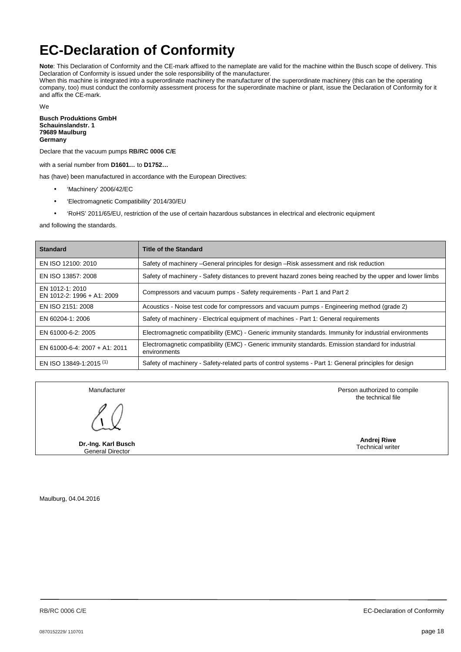## <span id="page-17-0"></span>**EC-Declaration of Conformity**

**Note**: This Declaration of Conformity and the CE-mark affixed to the nameplate are valid for the machine within the Busch scope of delivery. This Declaration of Conformity is issued under the sole responsibility of the manufacturer. When this machine is integrated into a superordinate machinery the manufacturer of the superordinate machinery (this can be the operating

company, too) must conduct the conformity assessment process for the superordinate machine or plant, issue the Declaration of Conformity for it and affix the CE-mark.

We

**Busch Produktions GmbH Schauinslandstr. 1 79689 Maulburg Germany** 

Declare that the vacuum pumps **RB/RC 0006 C/E**

with a serial number from **D1601…** to **D1752…**

has (have) been manufactured in accordance with the European Directives:

- 'Machinery' 2006/42/EC
- 'Electromagnetic Compatibility' 2014/30/EU
- 'RoHS' 2011/65/EU, restriction of the use of certain hazardous substances in electrical and electronic equipment

and following the standards.

| <b>Standard</b>                               | <b>Title of the Standard</b>                                                                                       |
|-----------------------------------------------|--------------------------------------------------------------------------------------------------------------------|
| EN ISO 12100: 2010                            | Safety of machinery -General principles for design -Risk assessment and risk reduction                             |
| EN ISO 13857: 2008                            | Safety of machinery - Safety distances to prevent hazard zones being reached by the upper and lower limbs          |
| EN 1012-1: 2010<br>EN 1012-2: 1996 + A1: 2009 | Compressors and vacuum pumps - Safety requirements - Part 1 and Part 2                                             |
| EN ISO 2151: 2008                             | Acoustics - Noise test code for compressors and vacuum pumps - Engineering method (grade 2)                        |
| EN 60204-1: 2006                              | Safety of machinery - Electrical equipment of machines - Part 1: General requirements                              |
| EN 61000-6-2: 2005                            | Electromagnetic compatibility (EMC) - Generic immunity standards. Immunity for industrial environments             |
| EN 61000-6-4: 2007 + A1: 2011                 | Electromagnetic compatibility (EMC) - Generic immunity standards. Emission standard for industrial<br>environments |
| EN ISO 13849-1:2015 <sup>(1)</sup>            | Safety of machinery - Safety-related parts of control systems - Part 1: General principles for design              |

Manufacturer

**Dr.-Ing. Karl Busch** General Director

 Person authorized to compile the technical file

> **Andrej Riwe** Technical writer

Maulburg, 04.04.2016